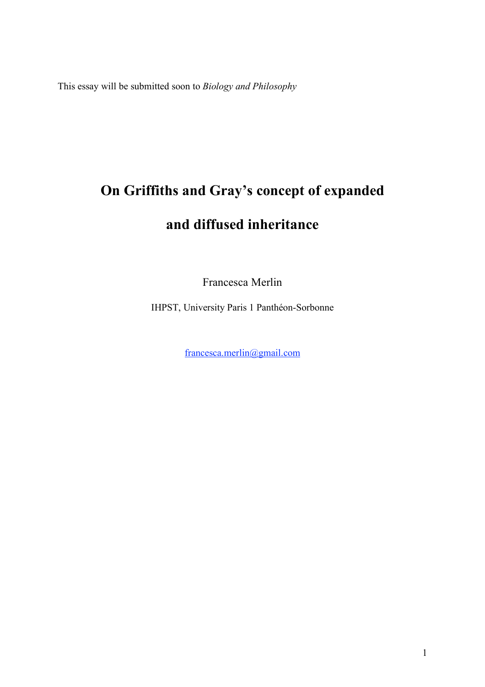This essay will be submitted soon to *Biology and Philosophy*

# **On Griffiths and Gray's concept of expanded and diffused inheritance**

Francesca Merlin

IHPST, University Paris 1 Panthéon-Sorbonne

francesca.merlin@gmail.com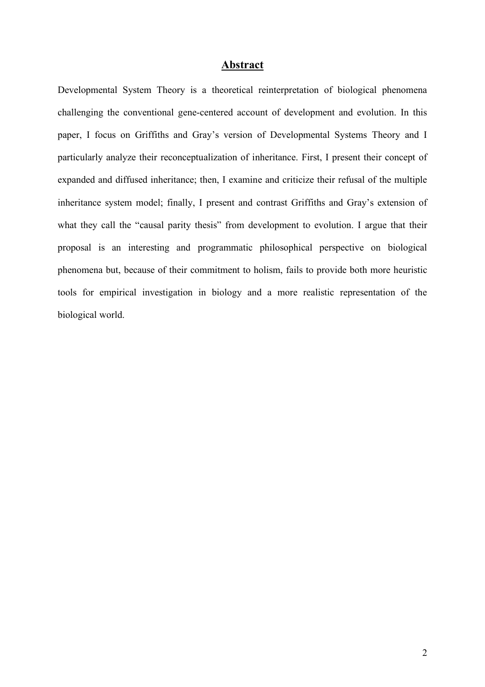### **Abstract**

Developmental System Theory is a theoretical reinterpretation of biological phenomena challenging the conventional gene-centered account of development and evolution. In this paper, I focus on Griffiths and Gray's version of Developmental Systems Theory and I particularly analyze their reconceptualization of inheritance. First, I present their concept of expanded and diffused inheritance; then, I examine and criticize their refusal of the multiple inheritance system model; finally, I present and contrast Griffiths and Gray's extension of what they call the "causal parity thesis" from development to evolution. I argue that their proposal is an interesting and programmatic philosophical perspective on biological phenomena but, because of their commitment to holism, fails to provide both more heuristic tools for empirical investigation in biology and a more realistic representation of the biological world.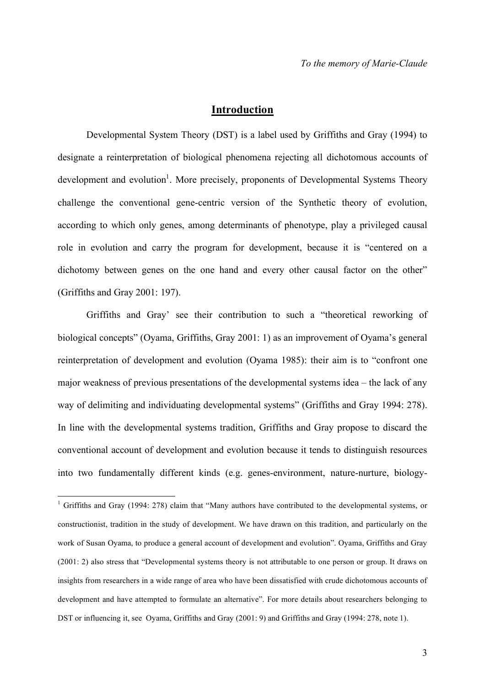### **Introduction**

Developmental System Theory (DST) is a label used by Griffiths and Gray (1994) to designate a reinterpretation of biological phenomena rejecting all dichotomous accounts of development and evolution<sup>1</sup>. More precisely, proponents of Developmental Systems Theory challenge the conventional gene-centric version of the Synthetic theory of evolution, according to which only genes, among determinants of phenotype, play a privileged causal role in evolution and carry the program for development, because it is "centered on a dichotomy between genes on the one hand and every other causal factor on the other" (Griffiths and Gray 2001: 197).

Griffiths and Gray' see their contribution to such a "theoretical reworking of biological concepts" (Oyama, Griffiths, Gray 2001: 1) as an improvement of Oyama's general reinterpretation of development and evolution (Oyama 1985): their aim is to "confront one major weakness of previous presentations of the developmental systems idea – the lack of any way of delimiting and individuating developmental systems" (Griffiths and Gray 1994: 278). In line with the developmental systems tradition, Griffiths and Gray propose to discard the conventional account of development and evolution because it tends to distinguish resources into two fundamentally different kinds (e.g. genes-environment, nature-nurture, biology-

<sup>&</sup>lt;sup>1</sup> Griffiths and Gray (1994: 278) claim that "Many authors have contributed to the developmental systems, or constructionist, tradition in the study of development. We have drawn on this tradition, and particularly on the work of Susan Oyama, to produce a general account of development and evolution". Oyama, Griffiths and Gray (2001: 2) also stress that "Developmental systems theory is not attributable to one person or group. It draws on insights from researchers in a wide range of area who have been dissatisfied with crude dichotomous accounts of development and have attempted to formulate an alternative". For more details about researchers belonging to DST or influencing it, see Oyama, Griffiths and Gray (2001: 9) and Griffiths and Gray (1994: 278, note 1).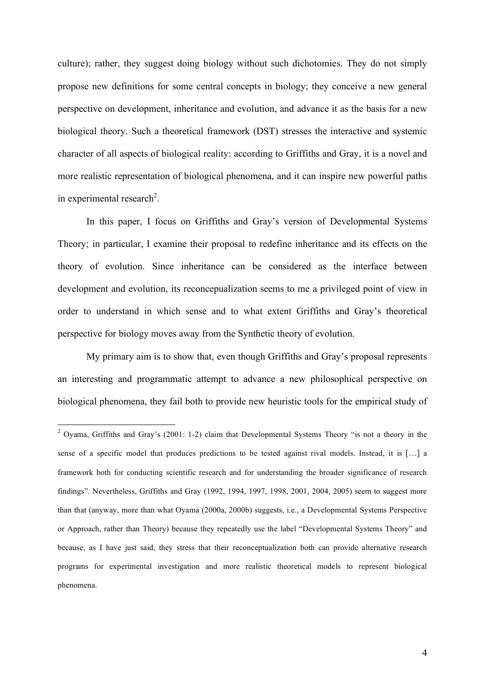culture); rather, they suggest doing biology without such dichotomies. They do not simply propose new definitions for some central concepts in biology; they conceive a new general perspective on development, inheritance and evolution, and advance it as the basis for a new biological theory. Such a theoretical framework (DST) stresses the interactive and systemic character of all aspects of biological reality: according to Griffiths and Gray, it is a novel and more realistic representation of biological phenomena, and it can inspire new powerful paths in experimental research<sup>2</sup>.

In this paper, I focus on Griffiths and Gray's version of Developmental Systems Theory; in particular, I examine their proposal to redefine inheritance and its effects on the theory of evolution. Since inheritance can be considered as the interface between development and evolution, its reconcepualization seems to me a privileged point of view in order to understand in which sense and to what extent Griffiths and Gray's theoretical perspective for biology moves away from the Synthetic theory of evolution.

My primary aim is to show that, even though Griffiths and Gray's proposal represents an interesting and programmatic attempt to advance a new philosophical perspective on biological phenomena, they fail both to provide new heuristic tools for the empirical study of

<sup>&</sup>lt;sup>2</sup> Oyama, Griffiths and Gray's (2001: 1-2) claim that Developmental Systems Theory "is not a theory in the sense of a specific model that produces predictions to be tested against rival models. Instead, it is [...] a framework both for conducting scientific research and for understanding the broader significance of research findings". Nevertheless, Griffiths and Gray (1992, 1994, 1997, 1998, 2001, 2004, 2005) seem to suggest more than that (anyway, more than what Oyama (2000a, 2000b) suggests, i.e., a Developmental Systems Perspective or Approach, rather than Theory) because they repeatedly use the label "Developmental Systems Theory" and because, as I have just said, they stress that their reconceptualization both can provide alternative research programs for experimental investigation and more realistic theoretical models to represent biological phenomena.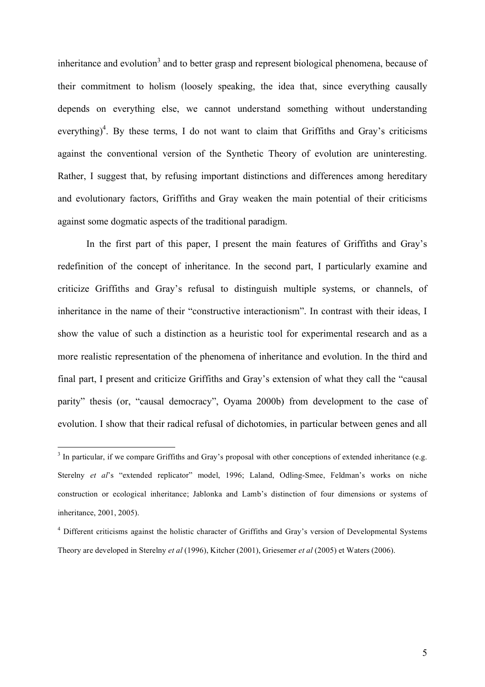inheritance and evolution<sup>3</sup> and to better grasp and represent biological phenomena, because of their commitment to holism (loosely speaking, the idea that, since everything causally depends on everything else, we cannot understand something without understanding everything)<sup>4</sup>. By these terms, I do not want to claim that Griffiths and Gray's criticisms against the conventional version of the Synthetic Theory of evolution are uninteresting. Rather, I suggest that, by refusing important distinctions and differences among hereditary and evolutionary factors, Griffiths and Gray weaken the main potential of their criticisms against some dogmatic aspects of the traditional paradigm.

In the first part of this paper, I present the main features of Griffiths and Gray's redefinition of the concept of inheritance. In the second part, I particularly examine and criticize Griffiths and Gray's refusal to distinguish multiple systems, or channels, of inheritance in the name of their "constructive interactionism". In contrast with their ideas, I show the value of such a distinction as a heuristic tool for experimental research and as a more realistic representation of the phenomena of inheritance and evolution. In the third and final part, I present and criticize Griffiths and Gray's extension of what they call the "causal parity" thesis (or, "causal democracy", Oyama 2000b) from development to the case of evolution. I show that their radical refusal of dichotomies, in particular between genes and all

 $3$  In particular, if we compare Griffiths and Gray's proposal with other conceptions of extended inheritance (e.g. Sterelny *et al*'s "extended replicator" model, 1996; Laland, Odling-Smee, Feldman's works on niche construction or ecological inheritance; Jablonka and Lamb's distinction of four dimensions or systems of inheritance, 2001, 2005).

<sup>&</sup>lt;sup>4</sup> Different criticisms against the holistic character of Griffiths and Gray's version of Developmental Systems Theory are developed in Sterelny *et al* (1996), Kitcher (2001), Griesemer *et al* (2005) et Waters (2006).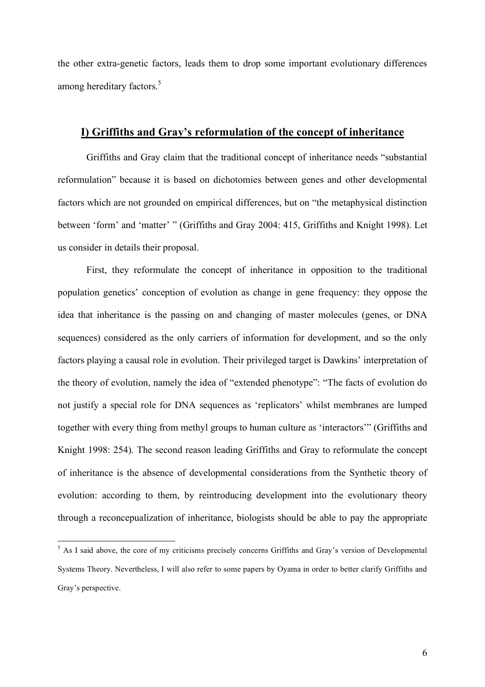the other extra-genetic factors, leads them to drop some important evolutionary differences among hereditary factors.<sup>5</sup>

### **I) Griffiths and Gray's reformulation of the concept of inheritance**

Griffiths and Gray claim that the traditional concept of inheritance needs "substantial reformulation" because it is based on dichotomies between genes and other developmental factors which are not grounded on empirical differences, but on "the metaphysical distinction between 'form' and 'matter' " (Griffiths and Gray 2004: 415, Griffiths and Knight 1998). Let us consider in details their proposal.

First, they reformulate the concept of inheritance in opposition to the traditional population genetics' conception of evolution as change in gene frequency: they oppose the idea that inheritance is the passing on and changing of master molecules (genes, or DNA sequences) considered as the only carriers of information for development, and so the only factors playing a causal role in evolution. Their privileged target is Dawkins' interpretation of the theory of evolution, namely the idea of "extended phenotype": "The facts of evolution do not justify a special role for DNA sequences as 'replicators' whilst membranes are lumped together with every thing from methyl groups to human culture as 'interactors'" (Griffiths and Knight 1998: 254). The second reason leading Griffiths and Gray to reformulate the concept of inheritance is the absence of developmental considerations from the Synthetic theory of evolution: according to them, by reintroducing development into the evolutionary theory through a reconcepualization of inheritance, biologists should be able to pay the appropriate

<sup>&</sup>lt;sup>5</sup> As I said above, the core of my criticisms precisely concerns Griffiths and Gray's version of Developmental Systems Theory. Nevertheless, I will also refer to some papers by Oyama in order to better clarify Griffiths and Gray's perspective.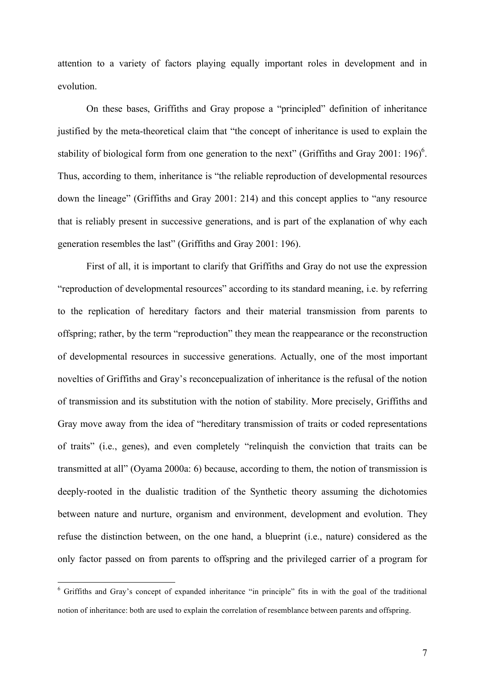attention to a variety of factors playing equally important roles in development and in evolution.

On these bases, Griffiths and Gray propose a "principled" definition of inheritance justified by the meta-theoretical claim that "the concept of inheritance is used to explain the stability of biological form from one generation to the next" (Griffiths and Gray 2001: 196)<sup>6</sup>. Thus, according to them, inheritance is "the reliable reproduction of developmental resources down the lineage" (Griffiths and Gray 2001: 214) and this concept applies to "any resource that is reliably present in successive generations, and is part of the explanation of why each generation resembles the last" (Griffiths and Gray 2001: 196).

First of all, it is important to clarify that Griffiths and Gray do not use the expression "reproduction of developmental resources" according to its standard meaning, i.e. by referring to the replication of hereditary factors and their material transmission from parents to offspring; rather, by the term "reproduction" they mean the reappearance or the reconstruction of developmental resources in successive generations. Actually, one of the most important novelties of Griffiths and Gray's reconcepualization of inheritance is the refusal of the notion of transmission and its substitution with the notion of stability. More precisely, Griffiths and Gray move away from the idea of "hereditary transmission of traits or coded representations of traits" (i.e., genes), and even completely "relinquish the conviction that traits can be transmitted at all" (Oyama 2000a: 6) because, according to them, the notion of transmission is deeply-rooted in the dualistic tradition of the Synthetic theory assuming the dichotomies between nature and nurture, organism and environment, development and evolution. They refuse the distinction between, on the one hand, a blueprint (i.e., nature) considered as the only factor passed on from parents to offspring and the privileged carrier of a program for

 <sup>6</sup> Griffiths and Gray's concept of expanded inheritance "in principle" fits in with the goal of the traditional notion of inheritance: both are used to explain the correlation of resemblance between parents and offspring.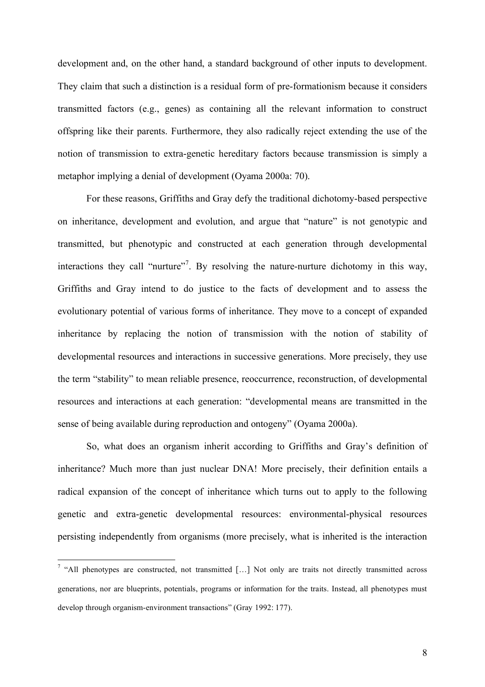development and, on the other hand, a standard background of other inputs to development. They claim that such a distinction is a residual form of pre-formationism because it considers transmitted factors (e.g., genes) as containing all the relevant information to construct offspring like their parents. Furthermore, they also radically reject extending the use of the notion of transmission to extra-genetic hereditary factors because transmission is simply a metaphor implying a denial of development (Oyama 2000a: 70).

For these reasons, Griffiths and Gray defy the traditional dichotomy-based perspective on inheritance, development and evolution, and argue that "nature" is not genotypic and transmitted, but phenotypic and constructed at each generation through developmental interactions they call "nurture"<sup>7</sup>. By resolving the nature-nurture dichotomy in this way, Griffiths and Gray intend to do justice to the facts of development and to assess the evolutionary potential of various forms of inheritance. They move to a concept of expanded inheritance by replacing the notion of transmission with the notion of stability of developmental resources and interactions in successive generations. More precisely, they use the term "stability" to mean reliable presence, reoccurrence, reconstruction, of developmental resources and interactions at each generation: "developmental means are transmitted in the sense of being available during reproduction and ontogeny" (Oyama 2000a).

So, what does an organism inherit according to Griffiths and Gray's definition of inheritance? Much more than just nuclear DNA! More precisely, their definition entails a radical expansion of the concept of inheritance which turns out to apply to the following genetic and extra-genetic developmental resources: environmental-physical resources persisting independently from organisms (more precisely, what is inherited is the interaction

<sup>&</sup>lt;sup>7</sup> "All phenotypes are constructed, not transmitted [...] Not only are traits not directly transmitted across generations, nor are blueprints, potentials, programs or information for the traits. Instead, all phenotypes must develop through organism-environment transactions" (Gray 1992: 177).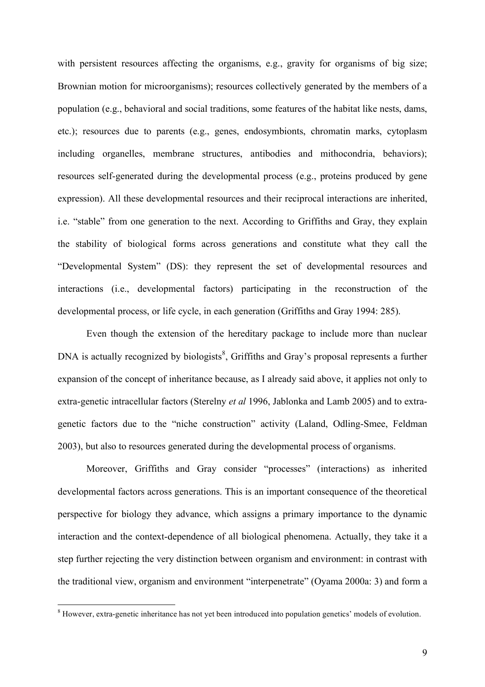with persistent resources affecting the organisms, e.g., gravity for organisms of big size; Brownian motion for microorganisms); resources collectively generated by the members of a population (e.g., behavioral and social traditions, some features of the habitat like nests, dams, etc.); resources due to parents (e.g., genes, endosymbionts, chromatin marks, cytoplasm including organelles, membrane structures, antibodies and mithocondria, behaviors); resources self-generated during the developmental process (e.g., proteins produced by gene expression). All these developmental resources and their reciprocal interactions are inherited, i.e. "stable" from one generation to the next. According to Griffiths and Gray, they explain the stability of biological forms across generations and constitute what they call the "Developmental System" (DS): they represent the set of developmental resources and interactions (i.e., developmental factors) participating in the reconstruction of the developmental process, or life cycle, in each generation (Griffiths and Gray 1994: 285).

Even though the extension of the hereditary package to include more than nuclear DNA is actually recognized by biologists<sup>8</sup>, Griffiths and Gray's proposal represents a further expansion of the concept of inheritance because, as I already said above, it applies not only to extra-genetic intracellular factors (Sterelny *et al* 1996, Jablonka and Lamb 2005) and to extragenetic factors due to the "niche construction" activity (Laland, Odling-Smee, Feldman 2003), but also to resources generated during the developmental process of organisms.

Moreover, Griffiths and Gray consider "processes" (interactions) as inherited developmental factors across generations. This is an important consequence of the theoretical perspective for biology they advance, which assigns a primary importance to the dynamic interaction and the context-dependence of all biological phenomena. Actually, they take it a step further rejecting the very distinction between organism and environment: in contrast with the traditional view, organism and environment "interpenetrate" (Oyama 2000a: 3) and form a

<sup>&</sup>lt;sup>8</sup> However, extra-genetic inheritance has not yet been introduced into population genetics' models of evolution.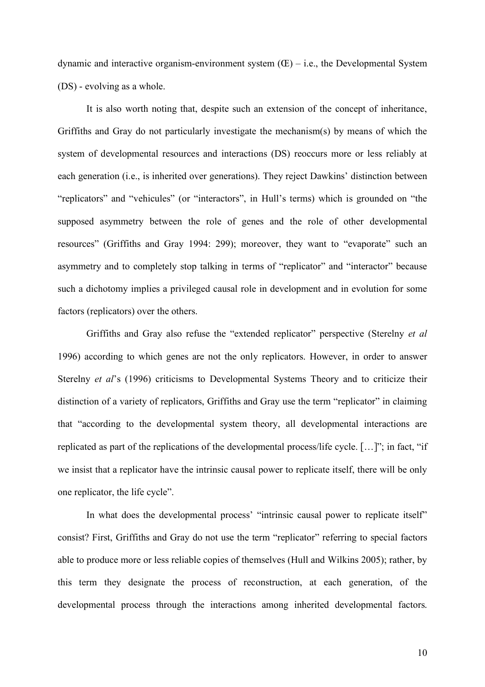dynamic and interactive organism-environment system  $(E)$  – i.e., the Developmental System (DS) - evolving as a whole.

It is also worth noting that, despite such an extension of the concept of inheritance, Griffiths and Gray do not particularly investigate the mechanism(s) by means of which the system of developmental resources and interactions (DS) reoccurs more or less reliably at each generation (i.e., is inherited over generations). They reject Dawkins' distinction between "replicators" and "vehicules" (or "interactors", in Hull's terms) which is grounded on "the supposed asymmetry between the role of genes and the role of other developmental resources" (Griffiths and Gray 1994: 299); moreover, they want to "evaporate" such an asymmetry and to completely stop talking in terms of "replicator" and "interactor" because such a dichotomy implies a privileged causal role in development and in evolution for some factors (replicators) over the others.

Griffiths and Gray also refuse the "extended replicator" perspective (Sterelny *et al* 1996) according to which genes are not the only replicators. However, in order to answer Sterelny *et al*'s (1996) criticisms to Developmental Systems Theory and to criticize their distinction of a variety of replicators, Griffiths and Gray use the term "replicator" in claiming that "according to the developmental system theory, all developmental interactions are replicated as part of the replications of the developmental process/life cycle. […]"; in fact, "if we insist that a replicator have the intrinsic causal power to replicate itself, there will be only one replicator, the life cycle".

In what does the developmental process' "intrinsic causal power to replicate itself" consist? First, Griffiths and Gray do not use the term "replicator" referring to special factors able to produce more or less reliable copies of themselves (Hull and Wilkins 2005); rather, by this term they designate the process of reconstruction, at each generation, of the developmental process through the interactions among inherited developmental factors.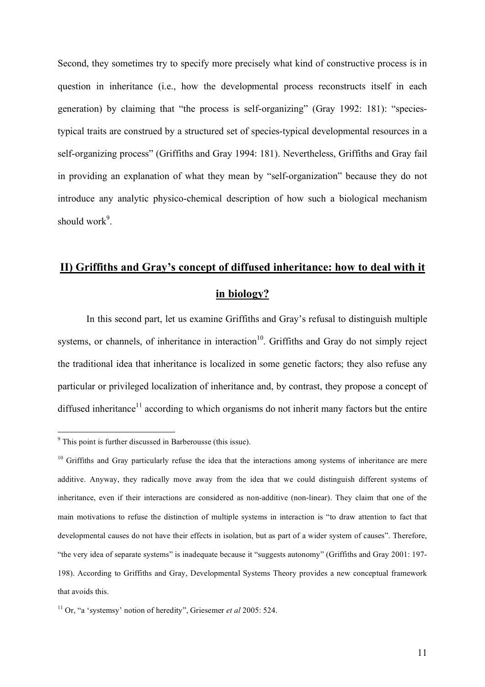Second, they sometimes try to specify more precisely what kind of constructive process is in question in inheritance (i.e., how the developmental process reconstructs itself in each generation) by claiming that "the process is self-organizing" (Gray 1992: 181): "speciestypical traits are construed by a structured set of species-typical developmental resources in a self-organizing process" (Griffiths and Gray 1994: 181). Nevertheless, Griffiths and Gray fail in providing an explanation of what they mean by "self-organization" because they do not introduce any analytic physico-chemical description of how such a biological mechanism should work<sup>9</sup>.

# **II) Griffiths and Gray's concept of diffused inheritance: how to deal with it in biology?**

In this second part, let us examine Griffiths and Gray's refusal to distinguish multiple systems, or channels, of inheritance in interaction<sup>10</sup>. Griffiths and Gray do not simply reject the traditional idea that inheritance is localized in some genetic factors; they also refuse any particular or privileged localization of inheritance and, by contrast, they propose a concept of diffused inheritance<sup>11</sup> according to which organisms do not inherit many factors but the entire

 <sup>9</sup> This point is further discussed in Barberousse (this issue).

 $10$  Griffiths and Gray particularly refuse the idea that the interactions among systems of inheritance are mere additive. Anyway, they radically move away from the idea that we could distinguish different systems of inheritance, even if their interactions are considered as non-additive (non-linear). They claim that one of the main motivations to refuse the distinction of multiple systems in interaction is "to draw attention to fact that developmental causes do not have their effects in isolation, but as part of a wider system of causes". Therefore, "the very idea of separate systems" is inadequate because it "suggests autonomy" (Griffiths and Gray 2001: 197- 198). According to Griffiths and Gray, Developmental Systems Theory provides a new conceptual framework that avoids this.

<sup>11</sup> Or, "a 'systemsy' notion of heredity", Griesemer *et al* 2005: 524.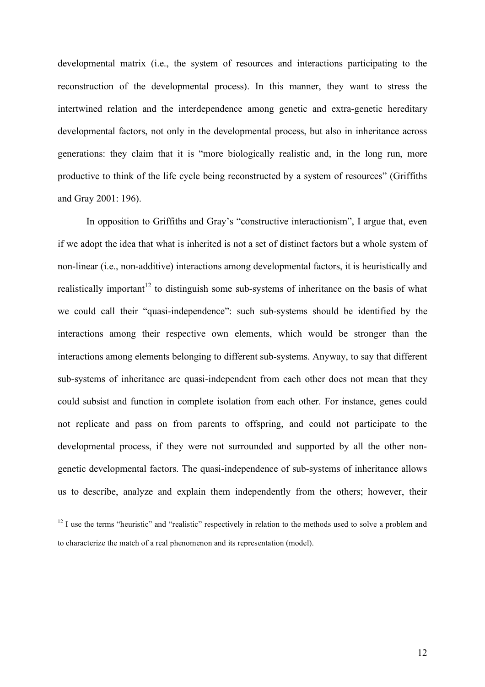developmental matrix (i.e., the system of resources and interactions participating to the reconstruction of the developmental process). In this manner, they want to stress the intertwined relation and the interdependence among genetic and extra-genetic hereditary developmental factors, not only in the developmental process, but also in inheritance across generations: they claim that it is "more biologically realistic and, in the long run, more productive to think of the life cycle being reconstructed by a system of resources" (Griffiths and Gray 2001: 196).

In opposition to Griffiths and Gray's "constructive interactionism", I argue that, even if we adopt the idea that what is inherited is not a set of distinct factors but a whole system of non-linear (i.e., non-additive) interactions among developmental factors, it is heuristically and realistically important<sup>12</sup> to distinguish some sub-systems of inheritance on the basis of what we could call their "quasi-independence": such sub-systems should be identified by the interactions among their respective own elements, which would be stronger than the interactions among elements belonging to different sub-systems. Anyway, to say that different sub-systems of inheritance are quasi-independent from each other does not mean that they could subsist and function in complete isolation from each other. For instance, genes could not replicate and pass on from parents to offspring, and could not participate to the developmental process, if they were not surrounded and supported by all the other nongenetic developmental factors. The quasi-independence of sub-systems of inheritance allows us to describe, analyze and explain them independently from the others; however, their

 $12$  I use the terms "heuristic" and "realistic" respectively in relation to the methods used to solve a problem and to characterize the match of a real phenomenon and its representation (model).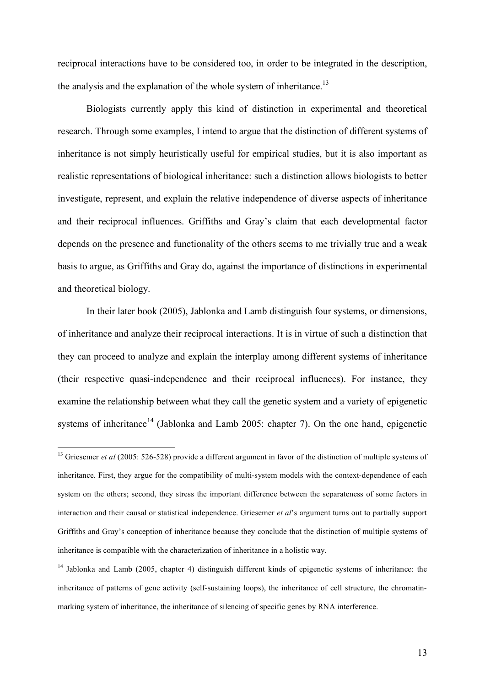reciprocal interactions have to be considered too, in order to be integrated in the description, the analysis and the explanation of the whole system of inheritance.<sup>13</sup>

Biologists currently apply this kind of distinction in experimental and theoretical research. Through some examples, I intend to argue that the distinction of different systems of inheritance is not simply heuristically useful for empirical studies, but it is also important as realistic representations of biological inheritance: such a distinction allows biologists to better investigate, represent, and explain the relative independence of diverse aspects of inheritance and their reciprocal influences. Griffiths and Gray's claim that each developmental factor depends on the presence and functionality of the others seems to me trivially true and a weak basis to argue, as Griffiths and Gray do, against the importance of distinctions in experimental and theoretical biology.

In their later book (2005), Jablonka and Lamb distinguish four systems, or dimensions, of inheritance and analyze their reciprocal interactions. It is in virtue of such a distinction that they can proceed to analyze and explain the interplay among different systems of inheritance (their respective quasi-independence and their reciprocal influences). For instance, they examine the relationship between what they call the genetic system and a variety of epigenetic systems of inheritance<sup>14</sup> (Jablonka and Lamb 2005: chapter 7). On the one hand, epigenetic

<sup>&</sup>lt;sup>13</sup> Griesemer *et al* (2005: 526-528) provide a different argument in favor of the distinction of multiple systems of inheritance. First, they argue for the compatibility of multi-system models with the context-dependence of each system on the others; second, they stress the important difference between the separateness of some factors in interaction and their causal or statistical independence. Griesemer *et al*'s argument turns out to partially support Griffiths and Gray's conception of inheritance because they conclude that the distinction of multiple systems of inheritance is compatible with the characterization of inheritance in a holistic way.

<sup>&</sup>lt;sup>14</sup> Jablonka and Lamb (2005, chapter 4) distinguish different kinds of epigenetic systems of inheritance: the inheritance of patterns of gene activity (self-sustaining loops), the inheritance of cell structure, the chromatinmarking system of inheritance, the inheritance of silencing of specific genes by RNA interference.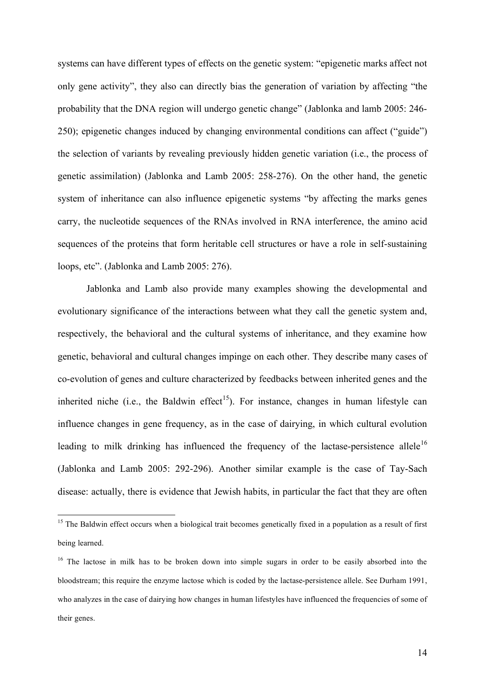systems can have different types of effects on the genetic system: "epigenetic marks affect not only gene activity", they also can directly bias the generation of variation by affecting "the probability that the DNA region will undergo genetic change" (Jablonka and lamb 2005: 246- 250); epigenetic changes induced by changing environmental conditions can affect ("guide") the selection of variants by revealing previously hidden genetic variation (i.e., the process of genetic assimilation) (Jablonka and Lamb 2005: 258-276). On the other hand, the genetic system of inheritance can also influence epigenetic systems "by affecting the marks genes carry, the nucleotide sequences of the RNAs involved in RNA interference, the amino acid sequences of the proteins that form heritable cell structures or have a role in self-sustaining loops, etc". (Jablonka and Lamb 2005: 276).

Jablonka and Lamb also provide many examples showing the developmental and evolutionary significance of the interactions between what they call the genetic system and, respectively, the behavioral and the cultural systems of inheritance, and they examine how genetic, behavioral and cultural changes impinge on each other. They describe many cases of co-evolution of genes and culture characterized by feedbacks between inherited genes and the inherited niche (i.e., the Baldwin effect<sup>15</sup>). For instance, changes in human lifestyle can influence changes in gene frequency, as in the case of dairying, in which cultural evolution leading to milk drinking has influenced the frequency of the lactase-persistence allele<sup>16</sup> (Jablonka and Lamb 2005: 292-296). Another similar example is the case of Tay-Sach disease: actually, there is evidence that Jewish habits, in particular the fact that they are often

<sup>&</sup>lt;sup>15</sup> The Baldwin effect occurs when a biological trait becomes genetically fixed in a population as a result of first being learned.

<sup>&</sup>lt;sup>16</sup> The lactose in milk has to be broken down into simple sugars in order to be easily absorbed into the bloodstream; this require the enzyme lactose which is coded by the lactase-persistence allele. See Durham 1991, who analyzes in the case of dairying how changes in human lifestyles have influenced the frequencies of some of their genes.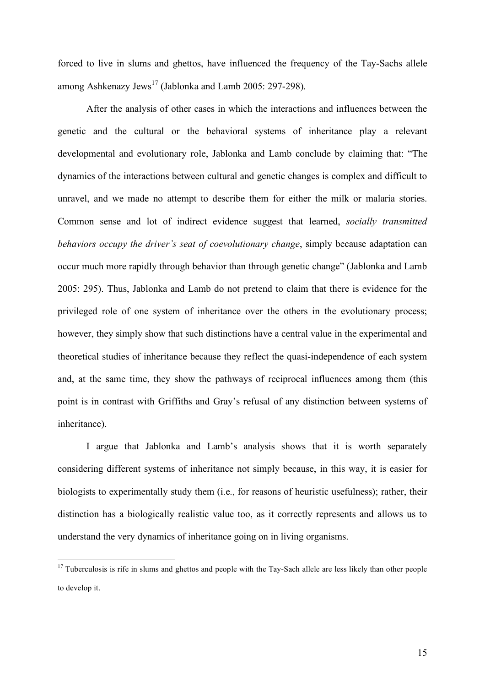forced to live in slums and ghettos, have influenced the frequency of the Tay-Sachs allele among Ashkenazy Jews<sup>17</sup> (Jablonka and Lamb 2005: 297-298).

After the analysis of other cases in which the interactions and influences between the genetic and the cultural or the behavioral systems of inheritance play a relevant developmental and evolutionary role, Jablonka and Lamb conclude by claiming that: "The dynamics of the interactions between cultural and genetic changes is complex and difficult to unravel, and we made no attempt to describe them for either the milk or malaria stories. Common sense and lot of indirect evidence suggest that learned, *socially transmitted behaviors occupy the driver's seat of coevolutionary change*, simply because adaptation can occur much more rapidly through behavior than through genetic change" (Jablonka and Lamb 2005: 295). Thus, Jablonka and Lamb do not pretend to claim that there is evidence for the privileged role of one system of inheritance over the others in the evolutionary process; however, they simply show that such distinctions have a central value in the experimental and theoretical studies of inheritance because they reflect the quasi-independence of each system and, at the same time, they show the pathways of reciprocal influences among them (this point is in contrast with Griffiths and Gray's refusal of any distinction between systems of inheritance).

I argue that Jablonka and Lamb's analysis shows that it is worth separately considering different systems of inheritance not simply because, in this way, it is easier for biologists to experimentally study them (i.e., for reasons of heuristic usefulness); rather, their distinction has a biologically realistic value too, as it correctly represents and allows us to understand the very dynamics of inheritance going on in living organisms.

 $17$  Tuberculosis is rife in slums and ghettos and people with the Tay-Sach allele are less likely than other people to develop it.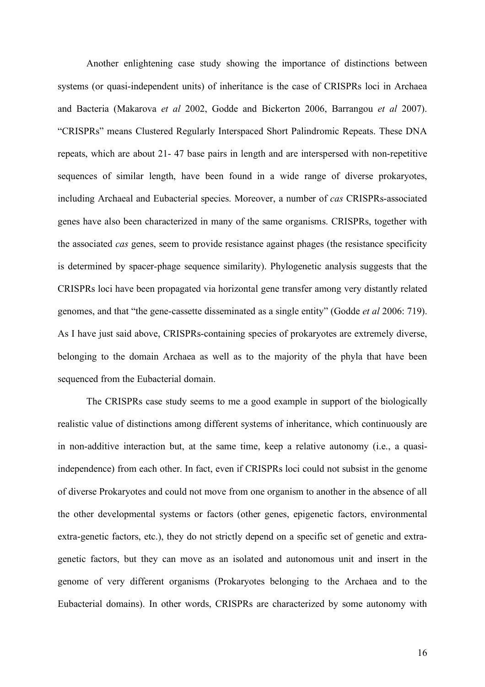Another enlightening case study showing the importance of distinctions between systems (or quasi-independent units) of inheritance is the case of CRISPRs loci in Archaea and Bacteria (Makarova *et al* 2002, Godde and Bickerton 2006, Barrangou *et al* 2007). "CRISPRs" means Clustered Regularly Interspaced Short Palindromic Repeats. These DNA repeats, which are about 21- 47 base pairs in length and are interspersed with non-repetitive sequences of similar length, have been found in a wide range of diverse prokaryotes, including Archaeal and Eubacterial species. Moreover, a number of *cas* CRISPRs-associated genes have also been characterized in many of the same organisms. CRISPRs, together with the associated *cas* genes, seem to provide resistance against phages (the resistance specificity is determined by spacer-phage sequence similarity). Phylogenetic analysis suggests that the CRISPRs loci have been propagated via horizontal gene transfer among very distantly related genomes, and that "the gene-cassette disseminated as a single entity" (Godde *et al* 2006: 719). As I have just said above, CRISPRs-containing species of prokaryotes are extremely diverse, belonging to the domain Archaea as well as to the majority of the phyla that have been sequenced from the Eubacterial domain.

The CRISPRs case study seems to me a good example in support of the biologically realistic value of distinctions among different systems of inheritance, which continuously are in non-additive interaction but, at the same time, keep a relative autonomy (i.e., a quasiindependence) from each other. In fact, even if CRISPRs loci could not subsist in the genome of diverse Prokaryotes and could not move from one organism to another in the absence of all the other developmental systems or factors (other genes, epigenetic factors, environmental extra-genetic factors, etc.), they do not strictly depend on a specific set of genetic and extragenetic factors, but they can move as an isolated and autonomous unit and insert in the genome of very different organisms (Prokaryotes belonging to the Archaea and to the Eubacterial domains). In other words, CRISPRs are characterized by some autonomy with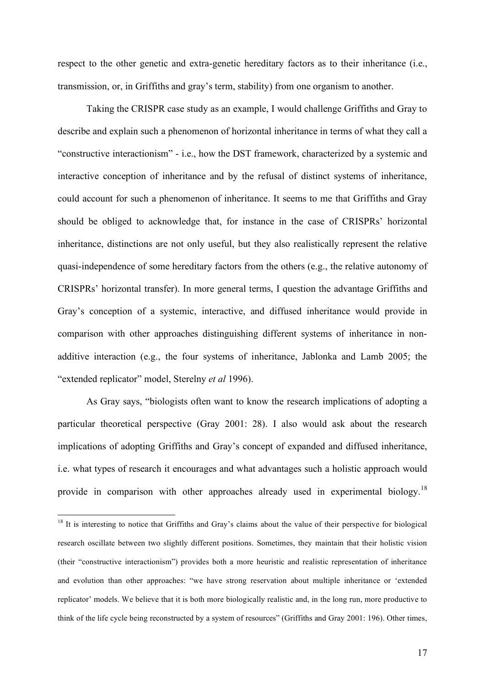respect to the other genetic and extra-genetic hereditary factors as to their inheritance (i.e., transmission, or, in Griffiths and gray's term, stability) from one organism to another.

Taking the CRISPR case study as an example, I would challenge Griffiths and Gray to describe and explain such a phenomenon of horizontal inheritance in terms of what they call a "constructive interactionism" - i.e., how the DST framework, characterized by a systemic and interactive conception of inheritance and by the refusal of distinct systems of inheritance, could account for such a phenomenon of inheritance. It seems to me that Griffiths and Gray should be obliged to acknowledge that, for instance in the case of CRISPRs' horizontal inheritance, distinctions are not only useful, but they also realistically represent the relative quasi-independence of some hereditary factors from the others (e.g., the relative autonomy of CRISPRs' horizontal transfer). In more general terms, I question the advantage Griffiths and Gray's conception of a systemic, interactive, and diffused inheritance would provide in comparison with other approaches distinguishing different systems of inheritance in nonadditive interaction (e.g., the four systems of inheritance, Jablonka and Lamb 2005; the "extended replicator" model, Sterelny *et al* 1996).

As Gray says, "biologists often want to know the research implications of adopting a particular theoretical perspective (Gray 2001: 28). I also would ask about the research implications of adopting Griffiths and Gray's concept of expanded and diffused inheritance, i.e. what types of research it encourages and what advantages such a holistic approach would provide in comparison with other approaches already used in experimental biology.<sup>18</sup>

 $18$  It is interesting to notice that Griffiths and Gray's claims about the value of their perspective for biological research oscillate between two slightly different positions. Sometimes, they maintain that their holistic vision (their "constructive interactionism") provides both a more heuristic and realistic representation of inheritance and evolution than other approaches: "we have strong reservation about multiple inheritance or 'extended replicator' models. We believe that it is both more biologically realistic and, in the long run, more productive to think of the life cycle being reconstructed by a system of resources" (Griffiths and Gray 2001: 196). Other times,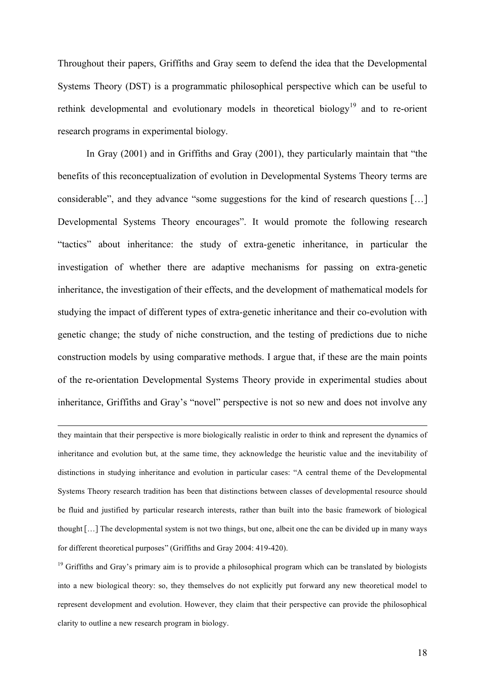Throughout their papers, Griffiths and Gray seem to defend the idea that the Developmental Systems Theory (DST) is a programmatic philosophical perspective which can be useful to rethink developmental and evolutionary models in theoretical biology<sup>19</sup> and to re-orient research programs in experimental biology.

In Gray (2001) and in Griffiths and Gray (2001), they particularly maintain that "the benefits of this reconceptualization of evolution in Developmental Systems Theory terms are considerable", and they advance "some suggestions for the kind of research questions […] Developmental Systems Theory encourages". It would promote the following research "tactics" about inheritance: the study of extra-genetic inheritance, in particular the investigation of whether there are adaptive mechanisms for passing on extra-genetic inheritance, the investigation of their effects, and the development of mathematical models for studying the impact of different types of extra-genetic inheritance and their co-evolution with genetic change; the study of niche construction, and the testing of predictions due to niche construction models by using comparative methods. I argue that, if these are the main points of the re-orientation Developmental Systems Theory provide in experimental studies about inheritance, Griffiths and Gray's "novel" perspective is not so new and does not involve any

they maintain that their perspective is more biologically realistic in order to think and represent the dynamics of inheritance and evolution but, at the same time, they acknowledge the heuristic value and the inevitability of distinctions in studying inheritance and evolution in particular cases: "A central theme of the Developmental Systems Theory research tradition has been that distinctions between classes of developmental resource should be fluid and justified by particular research interests, rather than built into the basic framework of biological thought […] The developmental system is not two things, but one, albeit one the can be divided up in many ways for different theoretical purposes" (Griffiths and Gray 2004: 419-420).

 $\overline{a}$ 

<sup>19</sup> Griffiths and Gray's primary aim is to provide a philosophical program which can be translated by biologists into a new biological theory: so, they themselves do not explicitly put forward any new theoretical model to represent development and evolution. However, they claim that their perspective can provide the philosophical clarity to outline a new research program in biology.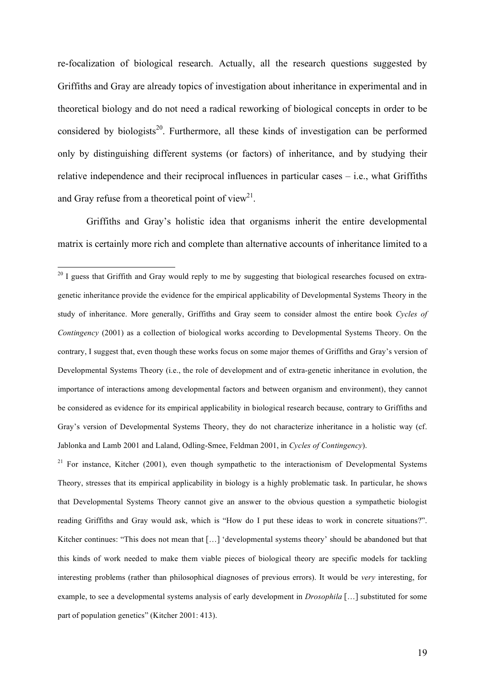re-focalization of biological research. Actually, all the research questions suggested by Griffiths and Gray are already topics of investigation about inheritance in experimental and in theoretical biology and do not need a radical reworking of biological concepts in order to be considered by biologists<sup>20</sup>. Furthermore, all these kinds of investigation can be performed only by distinguishing different systems (or factors) of inheritance, and by studying their relative independence and their reciprocal influences in particular cases – i.e., what Griffiths and Gray refuse from a theoretical point of view<sup>21</sup>.

Griffiths and Gray's holistic idea that organisms inherit the entire developmental matrix is certainly more rich and complete than alternative accounts of inheritance limited to a

 $21$  For instance, Kitcher (2001), even though sympathetic to the interactionism of Developmental Systems Theory, stresses that its empirical applicability in biology is a highly problematic task. In particular, he shows that Developmental Systems Theory cannot give an answer to the obvious question a sympathetic biologist reading Griffiths and Gray would ask, which is "How do I put these ideas to work in concrete situations?". Kitcher continues: "This does not mean that […] 'developmental systems theory' should be abandoned but that this kinds of work needed to make them viable pieces of biological theory are specific models for tackling interesting problems (rather than philosophical diagnoses of previous errors). It would be *very* interesting, for example, to see a developmental systems analysis of early development in *Drosophila* […] substituted for some part of population genetics" (Kitcher 2001: 413).

<sup>&</sup>lt;sup>20</sup> I guess that Griffith and Gray would reply to me by suggesting that biological researches focused on extragenetic inheritance provide the evidence for the empirical applicability of Developmental Systems Theory in the study of inheritance. More generally, Griffiths and Gray seem to consider almost the entire book *Cycles of Contingency* (2001) as a collection of biological works according to Developmental Systems Theory. On the contrary, I suggest that, even though these works focus on some major themes of Griffiths and Gray's version of Developmental Systems Theory (i.e., the role of development and of extra-genetic inheritance in evolution, the importance of interactions among developmental factors and between organism and environment), they cannot be considered as evidence for its empirical applicability in biological research because, contrary to Griffiths and Gray's version of Developmental Systems Theory, they do not characterize inheritance in a holistic way (cf. Jablonka and Lamb 2001 and Laland, Odling-Smee, Feldman 2001, in *Cycles of Contingency*).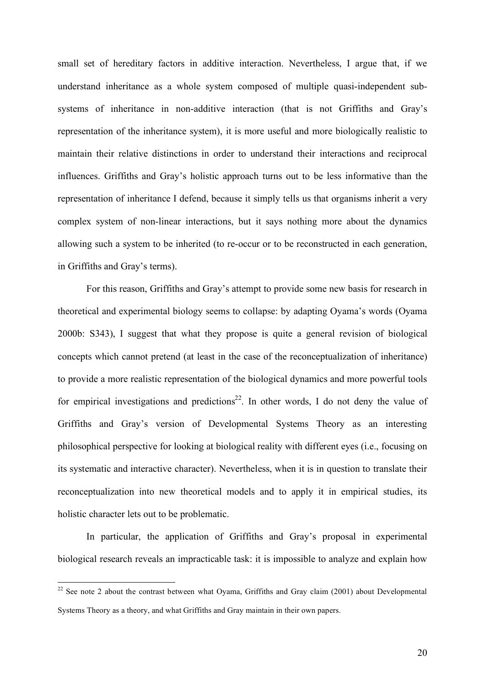small set of hereditary factors in additive interaction. Nevertheless, I argue that, if we understand inheritance as a whole system composed of multiple quasi-independent subsystems of inheritance in non-additive interaction (that is not Griffiths and Gray's representation of the inheritance system), it is more useful and more biologically realistic to maintain their relative distinctions in order to understand their interactions and reciprocal influences. Griffiths and Gray's holistic approach turns out to be less informative than the representation of inheritance I defend, because it simply tells us that organisms inherit a very complex system of non-linear interactions, but it says nothing more about the dynamics allowing such a system to be inherited (to re-occur or to be reconstructed in each generation, in Griffiths and Gray's terms).

For this reason, Griffiths and Gray's attempt to provide some new basis for research in theoretical and experimental biology seems to collapse: by adapting Oyama's words (Oyama 2000b: S343), I suggest that what they propose is quite a general revision of biological concepts which cannot pretend (at least in the case of the reconceptualization of inheritance) to provide a more realistic representation of the biological dynamics and more powerful tools for empirical investigations and predictions<sup>22</sup>. In other words, I do not deny the value of Griffiths and Gray's version of Developmental Systems Theory as an interesting philosophical perspective for looking at biological reality with different eyes (i.e., focusing on its systematic and interactive character). Nevertheless, when it is in question to translate their reconceptualization into new theoretical models and to apply it in empirical studies, its holistic character lets out to be problematic.

In particular, the application of Griffiths and Gray's proposal in experimental biological research reveals an impracticable task: it is impossible to analyze and explain how

<sup>&</sup>lt;sup>22</sup> See note 2 about the contrast between what Oyama, Griffiths and Gray claim (2001) about Developmental Systems Theory as a theory, and what Griffiths and Gray maintain in their own papers.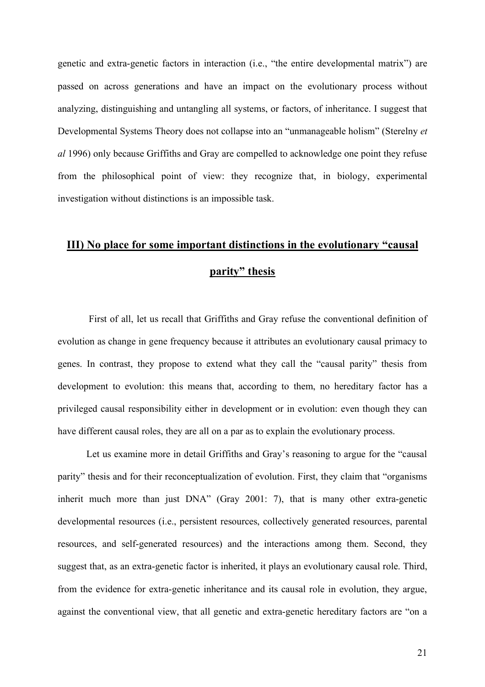genetic and extra-genetic factors in interaction (i.e., "the entire developmental matrix") are passed on across generations and have an impact on the evolutionary process without analyzing, distinguishing and untangling all systems, or factors, of inheritance. I suggest that Developmental Systems Theory does not collapse into an "unmanageable holism" (Sterelny *et al* 1996) only because Griffiths and Gray are compelled to acknowledge one point they refuse from the philosophical point of view: they recognize that, in biology, experimental investigation without distinctions is an impossible task.

## **III) No place for some important distinctions in the evolutionary "causal parity" thesis**

First of all, let us recall that Griffiths and Gray refuse the conventional definition of evolution as change in gene frequency because it attributes an evolutionary causal primacy to genes. In contrast, they propose to extend what they call the "causal parity" thesis from development to evolution: this means that, according to them, no hereditary factor has a privileged causal responsibility either in development or in evolution: even though they can have different causal roles, they are all on a par as to explain the evolutionary process.

Let us examine more in detail Griffiths and Gray's reasoning to argue for the "causal parity" thesis and for their reconceptualization of evolution. First, they claim that "organisms inherit much more than just DNA" (Gray 2001: 7), that is many other extra-genetic developmental resources (i.e., persistent resources, collectively generated resources, parental resources, and self-generated resources) and the interactions among them. Second, they suggest that, as an extra-genetic factor is inherited, it plays an evolutionary causal role. Third, from the evidence for extra-genetic inheritance and its causal role in evolution, they argue, against the conventional view, that all genetic and extra-genetic hereditary factors are "on a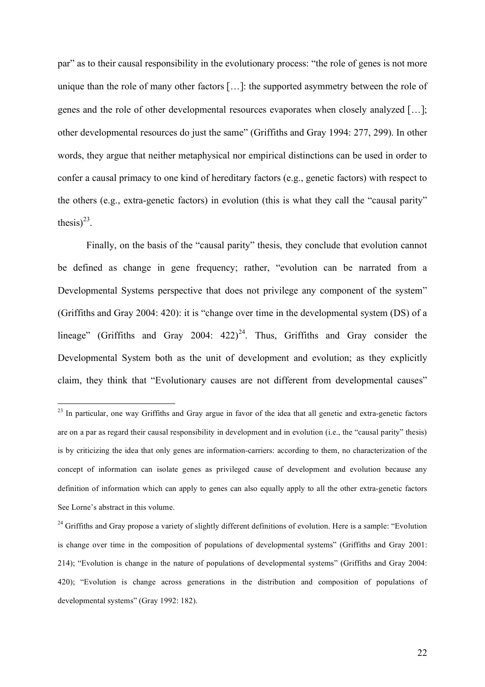par" as to their causal responsibility in the evolutionary process: "the role of genes is not more unique than the role of many other factors […]: the supported asymmetry between the role of genes and the role of other developmental resources evaporates when closely analyzed […]; other developmental resources do just the same" (Griffiths and Gray 1994: 277, 299). In other words, they argue that neither metaphysical nor empirical distinctions can be used in order to confer a causal primacy to one kind of hereditary factors (e.g., genetic factors) with respect to the others (e.g., extra-genetic factors) in evolution (this is what they call the "causal parity" thesis) $^{23}$ .

Finally, on the basis of the "causal parity" thesis, they conclude that evolution cannot be defined as change in gene frequency; rather, "evolution can be narrated from a Developmental Systems perspective that does not privilege any component of the system" (Griffiths and Gray 2004: 420): it is "change over time in the developmental system (DS) of a lineage" (Griffiths and Gray 2004:  $422)^{24}$ . Thus, Griffiths and Gray consider the Developmental System both as the unit of development and evolution; as they explicitly claim, they think that "Evolutionary causes are not different from developmental causes"

<sup>&</sup>lt;sup>23</sup> In particular, one way Griffiths and Gray argue in favor of the idea that all genetic and extra-genetic factors are on a par as regard their causal responsibility in development and in evolution (i.e., the "causal parity" thesis) is by criticizing the idea that only genes are information-carriers: according to them, no characterization of the concept of information can isolate genes as privileged cause of development and evolution because any definition of information which can apply to genes can also equally apply to all the other extra-genetic factors See Lorne's abstract in this volume.

 $^{24}$  Griffiths and Gray propose a variety of slightly different definitions of evolution. Here is a sample: "Evolution is change over time in the composition of populations of developmental systems" (Griffiths and Gray 2001: 214); "Evolution is change in the nature of populations of developmental systems" (Griffiths and Gray 2004: 420); "Evolution is change across generations in the distribution and composition of populations of developmental systems" (Gray 1992: 182).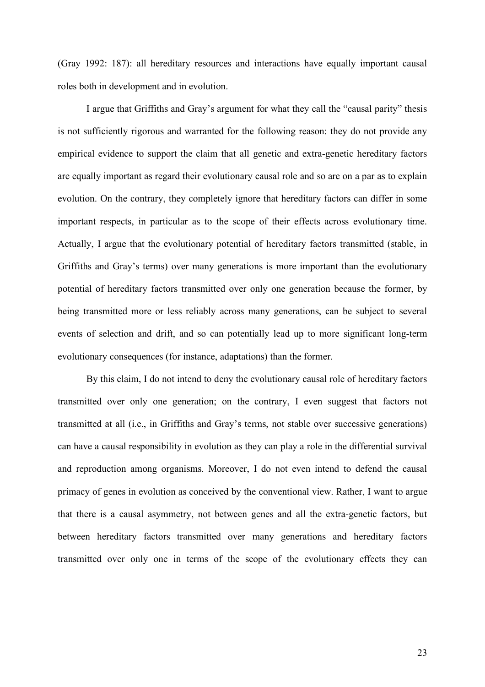(Gray 1992: 187): all hereditary resources and interactions have equally important causal roles both in development and in evolution.

I argue that Griffiths and Gray's argument for what they call the "causal parity" thesis is not sufficiently rigorous and warranted for the following reason: they do not provide any empirical evidence to support the claim that all genetic and extra-genetic hereditary factors are equally important as regard their evolutionary causal role and so are on a par as to explain evolution. On the contrary, they completely ignore that hereditary factors can differ in some important respects, in particular as to the scope of their effects across evolutionary time. Actually, I argue that the evolutionary potential of hereditary factors transmitted (stable, in Griffiths and Gray's terms) over many generations is more important than the evolutionary potential of hereditary factors transmitted over only one generation because the former, by being transmitted more or less reliably across many generations, can be subject to several events of selection and drift, and so can potentially lead up to more significant long-term evolutionary consequences (for instance, adaptations) than the former.

By this claim, I do not intend to deny the evolutionary causal role of hereditary factors transmitted over only one generation; on the contrary, I even suggest that factors not transmitted at all (i.e., in Griffiths and Gray's terms, not stable over successive generations) can have a causal responsibility in evolution as they can play a role in the differential survival and reproduction among organisms. Moreover, I do not even intend to defend the causal primacy of genes in evolution as conceived by the conventional view. Rather, I want to argue that there is a causal asymmetry, not between genes and all the extra-genetic factors, but between hereditary factors transmitted over many generations and hereditary factors transmitted over only one in terms of the scope of the evolutionary effects they can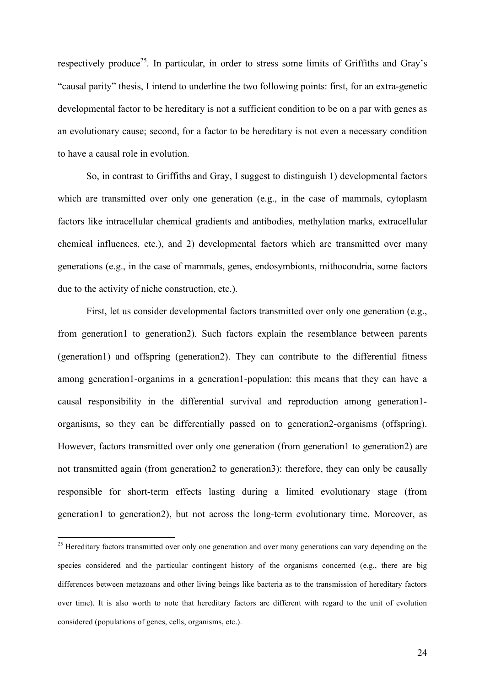respectively produce<sup>25</sup>. In particular, in order to stress some limits of Griffiths and Gray's "causal parity" thesis, I intend to underline the two following points: first, for an extra-genetic developmental factor to be hereditary is not a sufficient condition to be on a par with genes as an evolutionary cause; second, for a factor to be hereditary is not even a necessary condition to have a causal role in evolution.

So, in contrast to Griffiths and Gray, I suggest to distinguish 1) developmental factors which are transmitted over only one generation (e.g., in the case of mammals, cytoplasm factors like intracellular chemical gradients and antibodies, methylation marks, extracellular chemical influences, etc.), and 2) developmental factors which are transmitted over many generations (e.g., in the case of mammals, genes, endosymbionts, mithocondria, some factors due to the activity of niche construction, etc.).

First, let us consider developmental factors transmitted over only one generation (e.g., from generation1 to generation2). Such factors explain the resemblance between parents (generation1) and offspring (generation2). They can contribute to the differential fitness among generation1-organims in a generation1-population: this means that they can have a causal responsibility in the differential survival and reproduction among generation1 organisms, so they can be differentially passed on to generation2-organisms (offspring). However, factors transmitted over only one generation (from generation1 to generation2) are not transmitted again (from generation2 to generation3): therefore, they can only be causally responsible for short-term effects lasting during a limited evolutionary stage (from generation1 to generation2), but not across the long-term evolutionary time. Moreover, as

<sup>&</sup>lt;sup>25</sup> Hereditary factors transmitted over only one generation and over many generations can vary depending on the species considered and the particular contingent history of the organisms concerned (e.g., there are big differences between metazoans and other living beings like bacteria as to the transmission of hereditary factors over time). It is also worth to note that hereditary factors are different with regard to the unit of evolution considered (populations of genes, cells, organisms, etc.).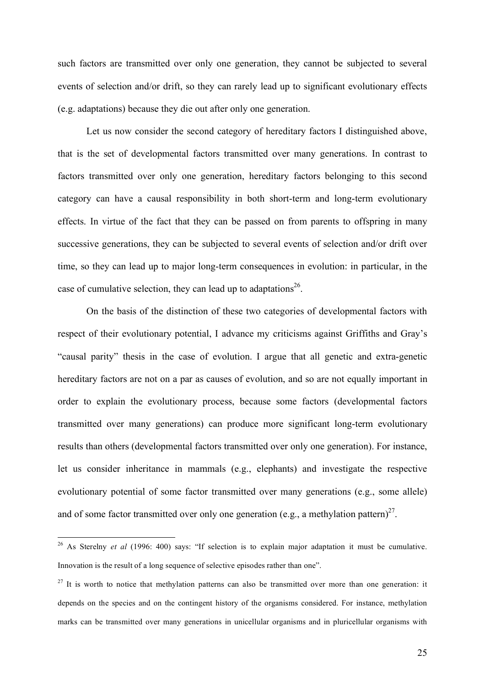such factors are transmitted over only one generation, they cannot be subjected to several events of selection and/or drift, so they can rarely lead up to significant evolutionary effects (e.g. adaptations) because they die out after only one generation.

Let us now consider the second category of hereditary factors I distinguished above, that is the set of developmental factors transmitted over many generations. In contrast to factors transmitted over only one generation, hereditary factors belonging to this second category can have a causal responsibility in both short-term and long-term evolutionary effects. In virtue of the fact that they can be passed on from parents to offspring in many successive generations, they can be subjected to several events of selection and/or drift over time, so they can lead up to major long-term consequences in evolution: in particular, in the case of cumulative selection, they can lead up to adaptations<sup>26</sup>.

On the basis of the distinction of these two categories of developmental factors with respect of their evolutionary potential, I advance my criticisms against Griffiths and Gray's "causal parity" thesis in the case of evolution. I argue that all genetic and extra-genetic hereditary factors are not on a par as causes of evolution, and so are not equally important in order to explain the evolutionary process, because some factors (developmental factors transmitted over many generations) can produce more significant long-term evolutionary results than others (developmental factors transmitted over only one generation). For instance, let us consider inheritance in mammals (e.g., elephants) and investigate the respective evolutionary potential of some factor transmitted over many generations (e.g., some allele) and of some factor transmitted over only one generation (e.g., a methylation pattern)<sup>27</sup>.

 <sup>26</sup> As Sterelny *et al* (1996: 400) says: "If selection is to explain major adaptation it must be cumulative. Innovation is the result of a long sequence of selective episodes rather than one".

 $27$  It is worth to notice that methylation patterns can also be transmitted over more than one generation: it depends on the species and on the contingent history of the organisms considered. For instance, methylation marks can be transmitted over many generations in unicellular organisms and in pluricellular organisms with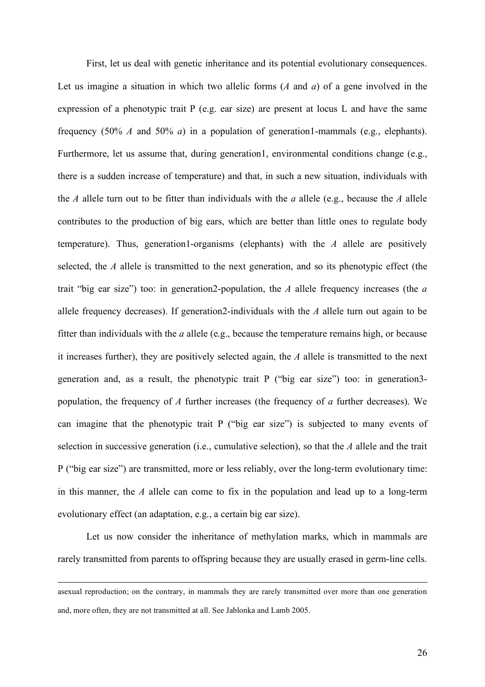First, let us deal with genetic inheritance and its potential evolutionary consequences. Let us imagine a situation in which two allelic forms (*A* and *a*) of a gene involved in the expression of a phenotypic trait P (e.g. ear size) are present at locus L and have the same frequency (50% *A* and 50% *a*) in a population of generation1-mammals (e.g., elephants). Furthermore, let us assume that, during generation1, environmental conditions change (e.g., there is a sudden increase of temperature) and that, in such a new situation, individuals with the *A* allele turn out to be fitter than individuals with the *a* allele (e.g., because the *A* allele contributes to the production of big ears, which are better than little ones to regulate body temperature). Thus, generation1-organisms (elephants) with the *A* allele are positively selected, the *A* allele is transmitted to the next generation, and so its phenotypic effect (the trait "big ear size") too: in generation2-population, the *A* allele frequency increases (the *a* allele frequency decreases). If generation2-individuals with the *A* allele turn out again to be fitter than individuals with the *a* allele (e.g., because the temperature remains high, or because it increases further), they are positively selected again, the *A* allele is transmitted to the next generation and, as a result, the phenotypic trait P ("big ear size") too: in generation3 population, the frequency of *A* further increases (the frequency of *a* further decreases). We can imagine that the phenotypic trait P ("big ear size") is subjected to many events of selection in successive generation (i.e., cumulative selection), so that the *A* allele and the trait P ("big ear size") are transmitted, more or less reliably, over the long-term evolutionary time: in this manner, the *A* allele can come to fix in the population and lead up to a long-term evolutionary effect (an adaptation, e.g., a certain big ear size).

Let us now consider the inheritance of methylation marks, which in mammals are rarely transmitted from parents to offspring because they are usually erased in germ-line cells.

asexual reproduction; on the contrary, in mammals they are rarely transmitted over more than one generation and, more often, they are not transmitted at all. See Jablonka and Lamb 2005.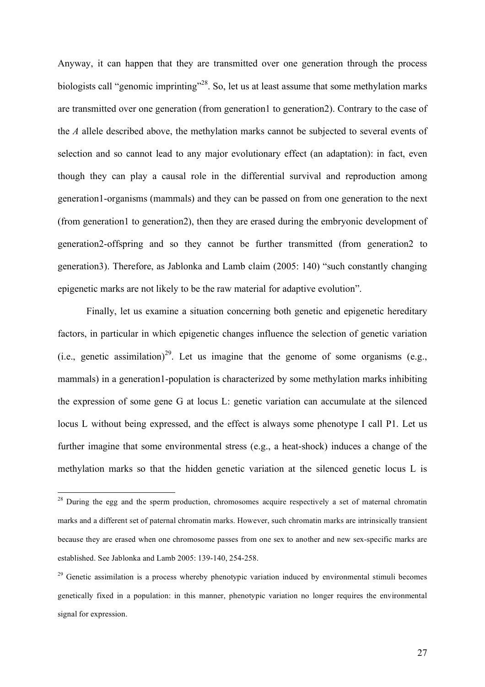Anyway, it can happen that they are transmitted over one generation through the process biologists call "genomic imprinting"<sup>28</sup>. So, let us at least assume that some methylation marks are transmitted over one generation (from generation1 to generation2). Contrary to the case of the *A* allele described above, the methylation marks cannot be subjected to several events of selection and so cannot lead to any major evolutionary effect (an adaptation): in fact, even though they can play a causal role in the differential survival and reproduction among generation1-organisms (mammals) and they can be passed on from one generation to the next (from generation1 to generation2), then they are erased during the embryonic development of generation2-offspring and so they cannot be further transmitted (from generation2 to generation3). Therefore, as Jablonka and Lamb claim (2005: 140) "such constantly changing epigenetic marks are not likely to be the raw material for adaptive evolution".

Finally, let us examine a situation concerning both genetic and epigenetic hereditary factors, in particular in which epigenetic changes influence the selection of genetic variation (i.e., genetic assimilation)<sup>29</sup>. Let us imagine that the genome of some organisms (e.g., mammals) in a generation1-population is characterized by some methylation marks inhibiting the expression of some gene G at locus L: genetic variation can accumulate at the silenced locus L without being expressed, and the effect is always some phenotype I call P1. Let us further imagine that some environmental stress (e.g., a heat-shock) induces a change of the methylation marks so that the hidden genetic variation at the silenced genetic locus L is

<sup>&</sup>lt;sup>28</sup> During the egg and the sperm production, chromosomes acquire respectively a set of maternal chromatin marks and a different set of paternal chromatin marks. However, such chromatin marks are intrinsically transient because they are erased when one chromosome passes from one sex to another and new sex-specific marks are established. See Jablonka and Lamb 2005: 139-140, 254-258.

 $29$  Genetic assimilation is a process whereby phenotypic variation induced by environmental stimuli becomes genetically fixed in a population: in this manner, phenotypic variation no longer requires the environmental signal for expression.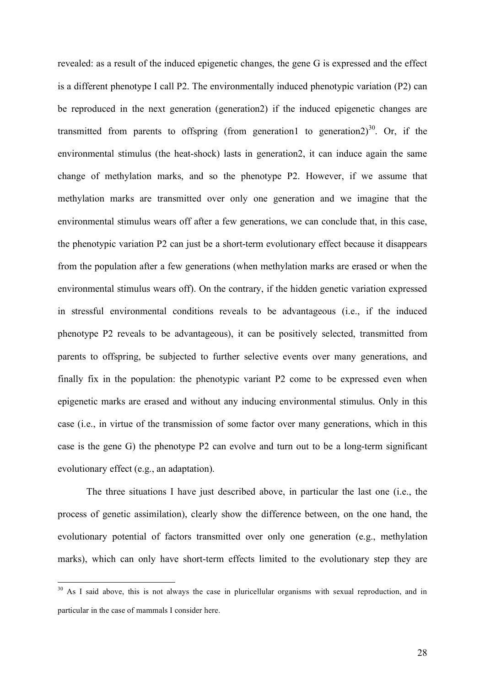revealed: as a result of the induced epigenetic changes, the gene G is expressed and the effect is a different phenotype I call P2. The environmentally induced phenotypic variation (P2) can be reproduced in the next generation (generation2) if the induced epigenetic changes are transmitted from parents to offspring (from generation1 to generation2)<sup>30</sup>. Or, if the environmental stimulus (the heat-shock) lasts in generation2, it can induce again the same change of methylation marks, and so the phenotype P2. However, if we assume that methylation marks are transmitted over only one generation and we imagine that the environmental stimulus wears off after a few generations, we can conclude that, in this case, the phenotypic variation P2 can just be a short-term evolutionary effect because it disappears from the population after a few generations (when methylation marks are erased or when the environmental stimulus wears off). On the contrary, if the hidden genetic variation expressed in stressful environmental conditions reveals to be advantageous (i.e., if the induced phenotype P2 reveals to be advantageous), it can be positively selected, transmitted from parents to offspring, be subjected to further selective events over many generations, and finally fix in the population: the phenotypic variant P2 come to be expressed even when epigenetic marks are erased and without any inducing environmental stimulus. Only in this case (i.e., in virtue of the transmission of some factor over many generations, which in this case is the gene G) the phenotype P2 can evolve and turn out to be a long-term significant evolutionary effect (e.g., an adaptation).

The three situations I have just described above, in particular the last one (i.e., the process of genetic assimilation), clearly show the difference between, on the one hand, the evolutionary potential of factors transmitted over only one generation (e.g., methylation marks), which can only have short-term effects limited to the evolutionary step they are

<sup>&</sup>lt;sup>30</sup> As I said above, this is not always the case in pluricellular organisms with sexual reproduction, and in particular in the case of mammals I consider here.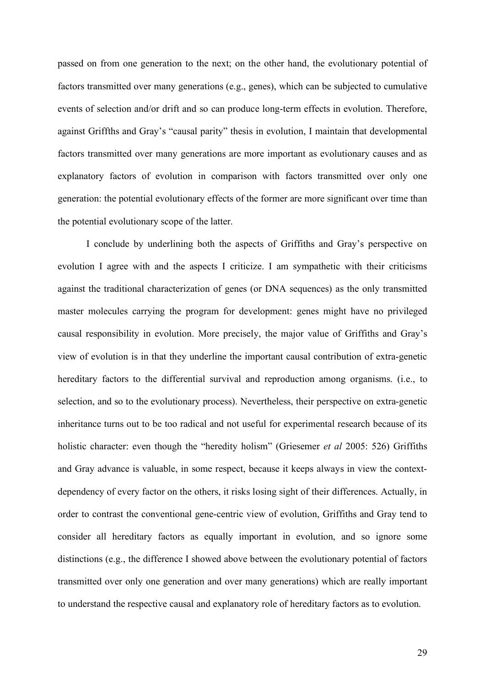passed on from one generation to the next; on the other hand, the evolutionary potential of factors transmitted over many generations (e.g., genes), which can be subjected to cumulative events of selection and/or drift and so can produce long-term effects in evolution. Therefore, against Griffths and Gray's "causal parity" thesis in evolution, I maintain that developmental factors transmitted over many generations are more important as evolutionary causes and as explanatory factors of evolution in comparison with factors transmitted over only one generation: the potential evolutionary effects of the former are more significant over time than the potential evolutionary scope of the latter.

I conclude by underlining both the aspects of Griffiths and Gray's perspective on evolution I agree with and the aspects I criticize. I am sympathetic with their criticisms against the traditional characterization of genes (or DNA sequences) as the only transmitted master molecules carrying the program for development: genes might have no privileged causal responsibility in evolution. More precisely, the major value of Griffiths and Gray's view of evolution is in that they underline the important causal contribution of extra-genetic hereditary factors to the differential survival and reproduction among organisms. (i.e., to selection, and so to the evolutionary process). Nevertheless, their perspective on extra-genetic inheritance turns out to be too radical and not useful for experimental research because of its holistic character: even though the "heredity holism" (Griesemer *et al* 2005: 526) Griffiths and Gray advance is valuable, in some respect, because it keeps always in view the contextdependency of every factor on the others, it risks losing sight of their differences. Actually, in order to contrast the conventional gene-centric view of evolution, Griffiths and Gray tend to consider all hereditary factors as equally important in evolution, and so ignore some distinctions (e.g., the difference I showed above between the evolutionary potential of factors transmitted over only one generation and over many generations) which are really important to understand the respective causal and explanatory role of hereditary factors as to evolution.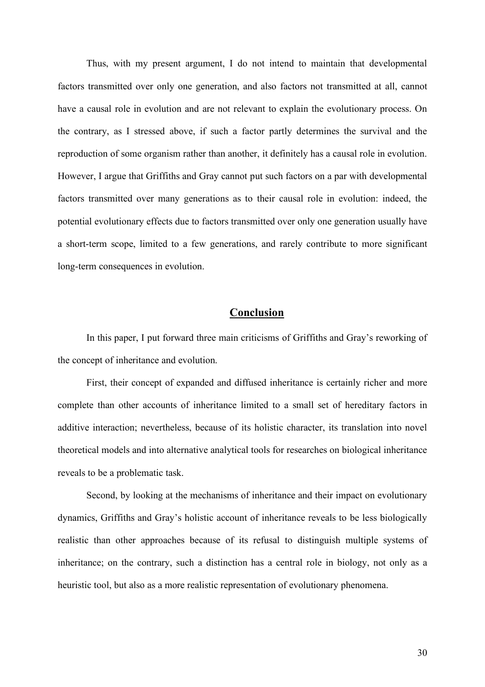Thus, with my present argument, I do not intend to maintain that developmental factors transmitted over only one generation, and also factors not transmitted at all, cannot have a causal role in evolution and are not relevant to explain the evolutionary process. On the contrary, as I stressed above, if such a factor partly determines the survival and the reproduction of some organism rather than another, it definitely has a causal role in evolution. However, I argue that Griffiths and Gray cannot put such factors on a par with developmental factors transmitted over many generations as to their causal role in evolution: indeed, the potential evolutionary effects due to factors transmitted over only one generation usually have a short-term scope, limited to a few generations, and rarely contribute to more significant long-term consequences in evolution.

### **Conclusion**

In this paper, I put forward three main criticisms of Griffiths and Gray's reworking of the concept of inheritance and evolution.

First, their concept of expanded and diffused inheritance is certainly richer and more complete than other accounts of inheritance limited to a small set of hereditary factors in additive interaction; nevertheless, because of its holistic character, its translation into novel theoretical models and into alternative analytical tools for researches on biological inheritance reveals to be a problematic task.

Second, by looking at the mechanisms of inheritance and their impact on evolutionary dynamics, Griffiths and Gray's holistic account of inheritance reveals to be less biologically realistic than other approaches because of its refusal to distinguish multiple systems of inheritance; on the contrary, such a distinction has a central role in biology, not only as a heuristic tool, but also as a more realistic representation of evolutionary phenomena.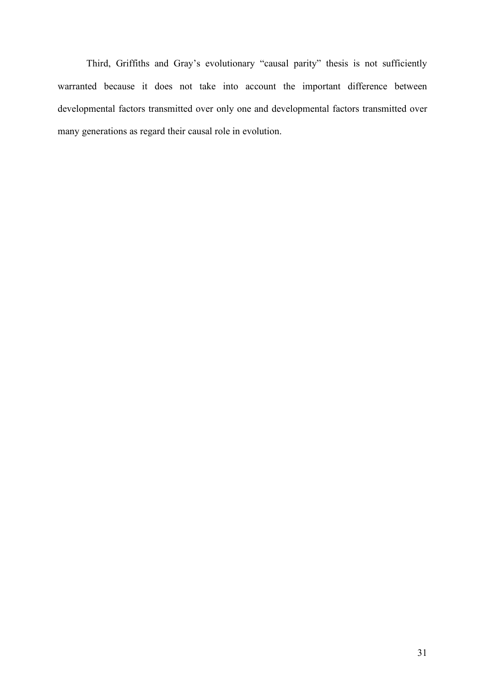Third, Griffiths and Gray's evolutionary "causal parity" thesis is not sufficiently warranted because it does not take into account the important difference between developmental factors transmitted over only one and developmental factors transmitted over many generations as regard their causal role in evolution.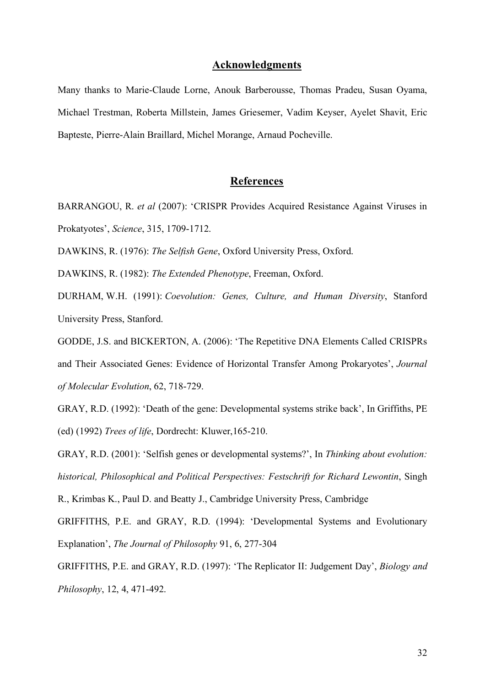#### **Acknowledgments**

Many thanks to Marie-Claude Lorne, Anouk Barberousse, Thomas Pradeu, Susan Oyama, Michael Trestman, Roberta Millstein, James Griesemer, Vadim Keyser, Ayelet Shavit, Eric Bapteste, Pierre-Alain Braillard, Michel Morange, Arnaud Pocheville.

### **References**

BARRANGOU, R. *et al* (2007): 'CRISPR Provides Acquired Resistance Against Viruses in Prokatyotes', *Science*, 315, 1709-1712.

DAWKINS, R. (1976): *The Selfish Gene*, Oxford University Press, Oxford.

DAWKINS, R. (1982): *The Extended Phenotype*, Freeman, Oxford.

DURHAM, W.H. (1991): *Coevolution: Genes, Culture, and Human Diversity*, Stanford University Press, Stanford.

GODDE, J.S. and BICKERTON, A. (2006): 'The Repetitive DNA Elements Called CRISPRs and Their Associated Genes: Evidence of Horizontal Transfer Among Prokaryotes', *Journal of Molecular Evolution*, 62, 718-729.

GRAY, R.D. (1992): 'Death of the gene: Developmental systems strike back', In Griffiths, PE (ed) (1992) *Trees of life*, Dordrecht: Kluwer,165-210.

GRAY, R.D. (2001): 'Selfish genes or developmental systems?', In *Thinking about evolution: historical, Philosophical and Political Perspectives: Festschrift for Richard Lewontin*, Singh

R., Krimbas K., Paul D. and Beatty J., Cambridge University Press, Cambridge

GRIFFITHS, P.E. and GRAY, R.D. (1994): 'Developmental Systems and Evolutionary Explanation', *The Journal of Philosophy* 91, 6, 277-304

GRIFFITHS, P.E. and GRAY, R.D. (1997): 'The Replicator II: Judgement Day', *Biology and Philosophy*, 12, 4, 471-492.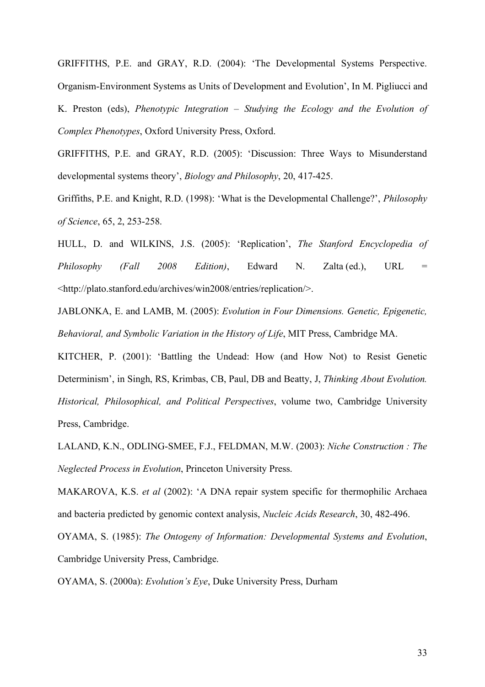GRIFFITHS, P.E. and GRAY, R.D. (2004): 'The Developmental Systems Perspective. Organism-Environment Systems as Units of Development and Evolution', In M. Pigliucci and K. Preston (eds), *Phenotypic Integration – Studying the Ecology and the Evolution of Complex Phenotypes*, Oxford University Press, Oxford.

GRIFFITHS, P.E. and GRAY, R.D. (2005): 'Discussion: Three Ways to Misunderstand developmental systems theory', *Biology and Philosophy*, 20, 417-425.

Griffiths, P.E. and Knight, R.D. (1998): 'What is the Developmental Challenge?', *Philosophy of Science*, 65, 2, 253-258.

HULL, D. and WILKINS, J.S. (2005): 'Replication', *The Stanford Encyclopedia of Philosophy (Fall 2008 Edition)*, Edward N. Zalta (ed.), URL = <http://plato.stanford.edu/archives/win2008/entries/replication/>.

JABLONKA, E. and LAMB, M. (2005): *Evolution in Four Dimensions. Genetic, Epigenetic, Behavioral, and Symbolic Variation in the History of Life*, MIT Press, Cambridge MA.

KITCHER, P. (2001): 'Battling the Undead: How (and How Not) to Resist Genetic Determinism', in Singh, RS, Krimbas, CB, Paul, DB and Beatty, J, *Thinking About Evolution. Historical, Philosophical, and Political Perspectives*, volume two, Cambridge University Press, Cambridge.

LALAND, K.N., ODLING-SMEE, F.J., FELDMAN, M.W. (2003): *Niche Construction : The Neglected Process in Evolution*, Princeton University Press.

MAKAROVA, K.S. *et al* (2002): 'A DNA repair system specific for thermophilic Archaea and bacteria predicted by genomic context analysis, *Nucleic Acids Research*, 30, 482-496.

OYAMA, S. (1985): *The Ontogeny of Information: Developmental Systems and Evolution*, Cambridge University Press, Cambridge.

OYAMA, S. (2000a): *Evolution's Eye*, Duke University Press, Durham